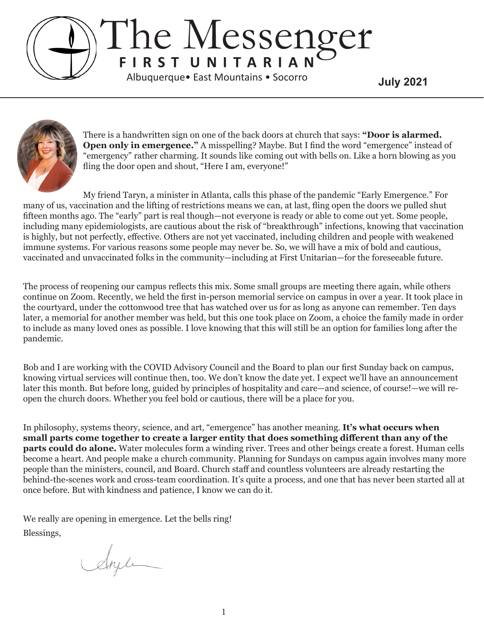## The Messenger **F I R S T U N I T A R I A N July 2021** Albuquerque• East Mountains • Socorro



There is a handwritten sign on one of the back doors at church that says: **"Door is alarmed. Open only in emergence."** A misspelling? Maybe. But I find the word "emergence" instead of "emergency" rather charming. It sounds like coming out with bells on. Like a horn blowing as you fling the door open and shout, "Here I am, everyone!"

My friend Taryn, a minister in Atlanta, calls this phase of the pandemic "Early Emergence." For many of us, vaccination and the lifting of restrictions means we can, at last, fling open the doors we pulled shut fifteen months ago. The "early" part is real though—not everyone is ready or able to come out yet. Some people, including many epidemiologists, are cautious about the risk of "breakthrough" infections, knowing that vaccination is highly, but not perfectly, effective. Others are not yet vaccinated, including children and people with weakened immune systems. For various reasons some people may never be. So, we will have a mix of bold and cautious, vaccinated and unvaccinated folks in the community—including at First Unitarian—for the foreseeable future.

The process of reopening our campus reflects this mix. Some small groups are meeting there again, while others continue on Zoom. Recently, we held the first in-person memorial service on campus in over a year. It took place in the courtyard, under the cottonwood tree that has watched over us for as long as anyone can remember. Ten days later, a memorial for another member was held, but this one took place on Zoom, a choice the family made in order to include as many loved ones as possible. I love knowing that this will still be an option for families long after the pandemic.

Bob and I are working with the COVID Advisory Council and the Board to plan our first Sunday back on campus, knowing virtual services will continue then, too. We don't know the date yet. I expect we'll have an announcement later this month. But before long, guided by principles of hospitality and care—and science, of course!—we will reopen the church doors. Whether you feel bold or cautious, there will be a place for you.

In philosophy, systems theory, science, and art, "emergence" has another meaning. **It's what occurs when small parts come together to create a larger entity that does something different than any of the parts could do alone.** Water molecules form a winding river. Trees and other beings create a forest. Human cells become a heart. And people make a church community. Planning for Sundays on campus again involves many more people than the ministers, council, and Board. Church staff and countless volunteers are already restarting the behind-the-scenes work and cross-team coordination. It's quite a process, and one that has never been started all at once before. But with kindness and patience, I know we can do it.

We really are opening in emergence. Let the bells ring! Blessings,

Angle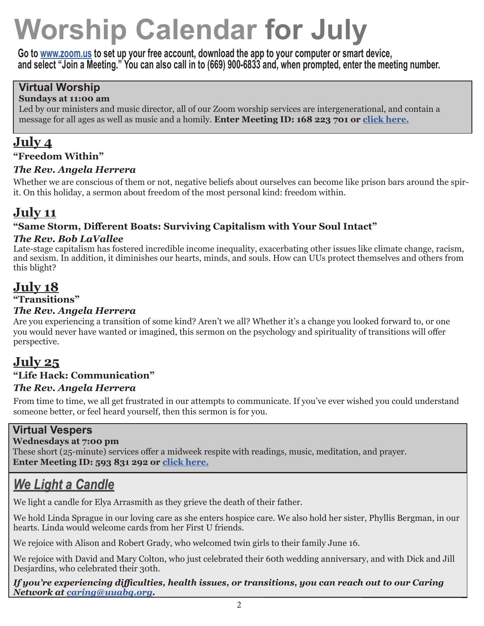# **Worship Calendar for July**

**Go to www.zoom.us to set up your free account, download the app to your computer or smart device, and select "Join a Meeting." You can also call in to (669) 900-6833 and, when prompted, enter the meeting number.**

## **Virtual Worship**

#### **Sundays at 11:00 am**

Led by our ministers and music director, all of our Zoom worship services are intergenerational, and contain a message for all ages as well as music and a homily. **Enter Meeting ID: 168 223 701 or click here.**

## **July 4**

#### **"Freedom Within"**

#### *The Rev. Angela Herrera*

Whether we are conscious of them or not, negative beliefs about ourselves can become like prison bars around the spirit. On this holiday, a sermon about freedom of the most personal kind: freedom within.

## **July 11**

#### **"Same Storm, Different Boats: Surviving Capitalism with Your Soul Intact"**

#### *The Rev. Bob LaVallee*

Late-stage capitalism has fostered incredible income inequality, exacerbating other issues like climate change, racism, and sexism. In addition, it diminishes our hearts, minds, and souls. How can UUs protect themselves and others from this blight?

## **July 18**

#### **"Transitions"**

#### *The Rev. Angela Herrera*

Are you experiencing a transition of some kind? Aren't we all? Whether it's a change you looked forward to, or one you would never have wanted or imagined, this sermon on the psychology and spirituality of transitions will offer perspective.

## **July 25**

### **"Life Hack: Communication"**

#### *The Rev. Angela Herrera*

From time to time, we all get frustrated in our attempts to communicate. If you've ever wished you could understand someone better, or feel heard yourself, then this sermon is for you.

#### **Virtual Vespers**

#### **Wednesdays at 7:00 pm**

These short (25-minute) services offer a midweek respite with readings, music, meditation, and prayer. **Enter Meeting ID: 593 831 292 or click here.**

## *We Light a Candle*

We light a candle for Elya Arrasmith as they grieve the death of their father.

We hold Linda Sprague in our loving care as she enters hospice care. We also hold her sister, Phyllis Bergman, in our hearts. Linda would welcome cards from her First U friends.

We rejoice with Alison and Robert Grady, who welcomed twin girls to their family June 16.

We rejoice with David and Mary Colton, who just celebrated their 60th wedding anniversary, and with Dick and Jill Desjardins, who celebrated their 30th.

*If you're experiencing difficulties, health issues, or transitions, you can reach out to our Caring Network at caring@uuabq.org.*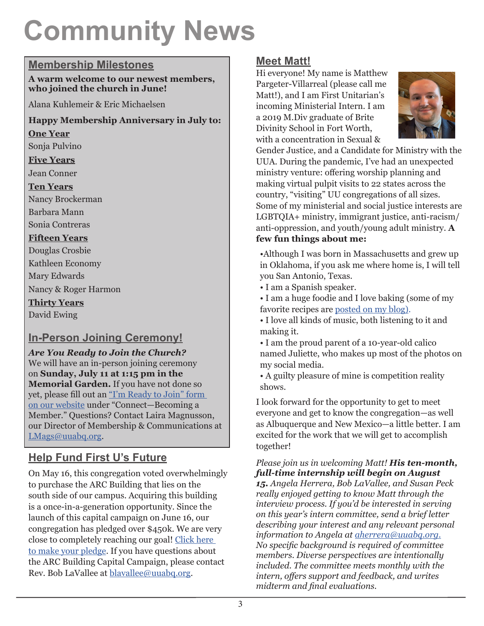## **Community News**

#### **Membership Milestones**

**A warm welcome to our newest members, who joined the church in June!**

Alana Kuhlemeir & Eric Michaelsen

#### **Happy Membership Anniversary in July to:**

#### **One Year**

Sonja Pulvino

#### **Five Years**

Jean Conner

#### **Ten Years**

Nancy Brockerman

Barbara Mann

Sonia Contreras

#### **Fifteen Years**

Douglas Crosbie

Kathleen Economy Mary Edwards

Nancy & Roger Harmon

**Thirty Years**

David Ewing

### **In-Person Joining Ceremony!**

*Are You Ready to Join the Church?* We will have an in-person joining ceremony on **Sunday, July 11 at 1:15 pm in the Memorial Garden.** If you have not done so yet, please fill out an "I'm Ready to Join" form on our website under "Connect—Becoming a Member." Questions? Contact Laira Magnusson, our Director of Membership & Communications at LMags@uuabq.org.

## **Help Fund First U's Future**

On May 16, this congregation voted overwhelmingly to purchase the ARC Building that lies on the south side of our campus. Acquiring this building is a once-in-a-generation opportunity. Since the launch of this capital campaign on June 16, our congregation has pledged over \$450k. We are very close to completely reaching our goal! Click here to make your pledge. If you have questions about the ARC Building Capital Campaign, please contact Rev. Bob LaVallee at blavallee@uuabq.org.

### **Meet Matt!**

Hi everyone! My name is Matthew Pargeter-Villarreal (please call me Matt!), and I am First Unitarian's incoming Ministerial Intern. I am a 2019 M.Div graduate of Brite Divinity School in Fort Worth, with a concentration in Sexual &



Gender Justice, and a Candidate for Ministry with the UUA. During the pandemic, I've had an unexpected ministry venture: offering worship planning and making virtual pulpit visits to 22 states across the country, "visiting" UU congregations of all sizes. Some of my ministerial and social justice interests are LGBTQIA+ ministry, immigrant justice, anti-racism/ anti-oppression, and youth/young adult ministry. **A few fun things about me:**

•Although I was born in Massachusetts and grew up in Oklahoma, if you ask me where home is, I will tell you San Antonio, Texas.

• I am a Spanish speaker.

• I am a huge foodie and I love baking (some of my favorite recipes are posted on my blog).

• I love all kinds of music, both listening to it and making it.

• I am the proud parent of a 10-year-old calico named Juliette, who makes up most of the photos on my social media.

• A guilty pleasure of mine is competition reality shows.

I look forward for the opportunity to get to meet everyone and get to know the congregation—as well as Albuquerque and New Mexico—a little better. I am excited for the work that we will get to accomplish together!

*Please join us in welcoming Matt! His ten-month, full-time internship will begin on August* 

*15. Angela Herrera, Bob LaVallee, and Susan Peck really enjoyed getting to know Matt through the interview process. If you'd be interested in serving on this year's intern committee, send a brief letter describing your interest and any relevant personal information to Angela at aherrera@uuabq.org. No specific background is required of committee members. Diverse perspectives are intentionally included. The committee meets monthly with the intern, offers support and feedback, and writes midterm and final evaluations.*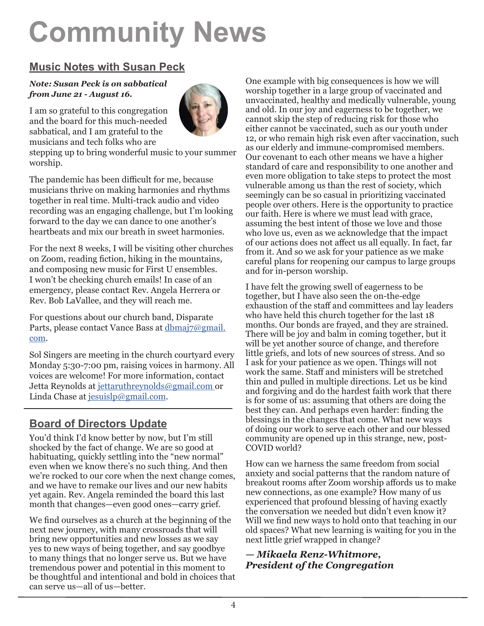# **Community News**

## **Music Notes with Susan Peck**

#### *Note: Susan Peck is on sabbatical from June 21 - August 16.*

I am so grateful to this congregation and the board for this much-needed sabbatical, and I am grateful to the musicians and tech folks who are



stepping up to bring wonderful music to your summer worship.

The pandemic has been difficult for me, because musicians thrive on making harmonies and rhythms together in real time. Multi-track audio and video recording was an engaging challenge, but I'm looking forward to the day we can dance to one another's heartbeats and mix our breath in sweet harmonies.

For the next 8 weeks, I will be visiting other churches on Zoom, reading fiction, hiking in the mountains, and composing new music for First U ensembles. I won't be checking church emails! In case of an emergency, please contact Rev. Angela Herrera or Rev. Bob LaVallee, and they will reach me.

For questions about our church band, Disparate Parts, please contact Vance Bass at dbmaj7@gmail. com.

Sol Singers are meeting in the church courtyard every Monday 5:30-7:00 pm, raising voices in harmony. All voices are welcome! For more information, contact Jetta Reynolds at jettaruthreynolds@gmail.com or Linda Chase at jesuislp@gmail.com.

### **Board of Directors Update**

You'd think I'd know better by now, but I'm still shocked by the fact of change. We are so good at habituating, quickly settling into the "new normal" even when we know there's no such thing. And then we're rocked to our core when the next change comes, and we have to remake our lives and our new habits yet again. Rev. Angela reminded the board this last month that changes—even good ones—carry grief.

We find ourselves as a church at the beginning of the next new journey, with many crossroads that will bring new opportunities and new losses as we say yes to new ways of being together, and say goodbye to many things that no longer serve us. But we have tremendous power and potential in this moment to be thoughtful and intentional and bold in choices that can serve us—all of us—better.

One example with big consequences is how we will worship together in a large group of vaccinated and unvaccinated, healthy and medically vulnerable, young and old. In our joy and eagerness to be together, we cannot skip the step of reducing risk for those who either cannot be vaccinated, such as our youth under 12, or who remain high risk even after vaccination, such as our elderly and immune-compromised members. Our covenant to each other means we have a higher standard of care and responsibility to one another and even more obligation to take steps to protect the most vulnerable among us than the rest of society, which seemingly can be so casual in prioritizing vaccinated people over others. Here is the opportunity to practice our faith. Here is where we must lead with grace, assuming the best intent of those we love and those who love us, even as we acknowledge that the impact of our actions does not affect us all equally. In fact, far from it. And so we ask for your patience as we make careful plans for reopening our campus to large groups and for in-person worship.

I have felt the growing swell of eagerness to be together, but I have also seen the on-the-edge exhaustion of the staff and committees and lay leaders who have held this church together for the last 18 months. Our bonds are frayed, and they are strained. There will be joy and balm in coming together, but it will be yet another source of change, and therefore little griefs, and lots of new sources of stress. And so I ask for your patience as we open. Things will not work the same. Staff and ministers will be stretched thin and pulled in multiple directions. Let us be kind and forgiving and do the hardest faith work that there is for some of us: assuming that others are doing the best they can. And perhaps even harder: finding the blessings in the changes that come. What new ways of doing our work to serve each other and our blessed community are opened up in this strange, new, post-COVID world?

How can we harness the same freedom from social anxiety and social patterns that the random nature of breakout rooms after Zoom worship affords us to make new connections, as one example? How many of us experienced that profound blessing of having exactly the conversation we needed but didn't even know it? Will we find new ways to hold onto that teaching in our old spaces? What new learning is waiting for you in the next little grief wrapped in change?

#### *— Mikaela Renz-Whitmore, President of the Congregation*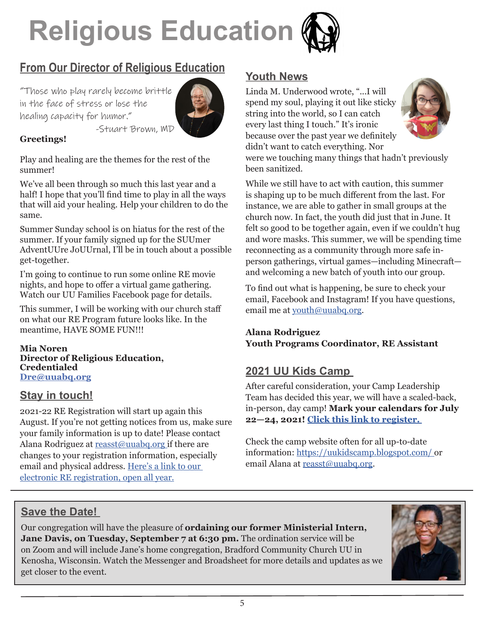

## **From Our Director of Religious Education**

"Those who play rarely become brittle in the face of stress or lose the healing capacity for humor." -Stuart Brown, MD



#### **Greetings!**

Play and healing are the themes for the rest of the summer!

We've all been through so much this last year and a half! I hope that you'll find time to play in all the ways that will aid your healing. Help your children to do the same.

Summer Sunday school is on hiatus for the rest of the summer. If your family signed up for the SUUmer AdventUUre JoUUrnal, I'll be in touch about a possible get-together.

I'm going to continue to run some online RE movie nights, and hope to offer a virtual game gathering. Watch our UU Families Facebook page for details.

This summer, I will be working with our church staff on what our RE Program future looks like. In the meantime, HAVE SOME FUN!!!

**Mia Noren Director of Religious Education, Credentialed Dre@uuabq.org**

#### **Stay in touch!**

2021-22 RE Registration will start up again this August. If you're not getting notices from us, make sure your family information is up to date! Please contact Alana Rodriguez at reasst@uuabq.org if there are changes to your registration information, especially email and physical address. Here's a link to our electronic RE registration, open all year.

#### **Youth News**

Linda M. Underwood wrote, "...I will spend my soul, playing it out like sticky string into the world, so I can catch every last thing I touch." It's ironic because over the past year we definitely didn't want to catch everything. Nor



were we touching many things that hadn't previously been sanitized.

While we still have to act with caution, this summer is shaping up to be much different from the last. For instance, we are able to gather in small groups at the church now. In fact, the youth did just that in June. It felt so good to be together again, even if we couldn't hug and wore masks. This summer, we will be spending time reconnecting as a community through more safe inperson gatherings, virtual games—including Minecraft and welcoming a new batch of youth into our group.

To find out what is happening, be sure to check your email, Facebook and Instagram! If you have questions, email me at youth@uuabq.org.

#### **Alana Rodriguez Youth Programs Coordinator, RE Assistant**

#### **2021 UU Kids Camp**

After careful consideration, your Camp Leadership Team has decided this year, we will have a scaled-back, in-person, day camp! **Mark your calendars for July 22—24, 2021! Click this link to register.** 

Check the camp website often for all up-to-date information: https://uukidscamp.blogspot.com/ or email Alana at reasst@uuabq.org.

#### **Save the Date!**

Our congregation will have the pleasure of **ordaining our former Ministerial Intern,**  Jane Davis, on Tuesday, September 7 at 6:30 pm. The ordination service will be on Zoom and will include Jane's home congregation, Bradford Community Church UU in Kenosha, Wisconsin. Watch the Messenger and Broadsheet for more details and updates as we get closer to the event.

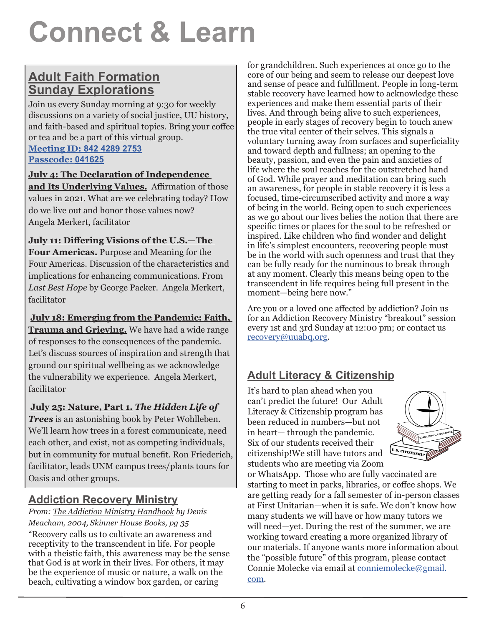## **Connect & Learn**

## **Adult Faith Formation Sunday Explorations**

Join us every Sunday morning at 9:30 for weekly discussions on a variety of social justice, UU history, and faith-based and spiritual topics. Bring your coffee or tea and be a part of this virtual group.

**Meeting ID: 842 4289 2753 Passcode: 041625**

#### **July 4: The Declaration of Independence**

**and Its Underlying Values.** Affirmation of those values in 2021. What are we celebrating today? How do we live out and honor those values now? Angela Merkert, facilitator

#### **July 11: Differing Visions of the U.S.—The**

**Four Americas.** Purpose and Meaning for the Four Americas. Discussion of the characteristics and implications for enhancing communications. From *Last Best Hope* by George Packer. Angela Merkert, facilitator

**July 18: Emerging from the Pandemic: Faith, Trauma and Grieving.** We have had a wide range of responses to the consequences of the pandemic. Let's discuss sources of inspiration and strength that ground our spiritual wellbeing as we acknowledge the vulnerability we experience. Angela Merkert, facilitator

#### **July 25: Nature, Part 1.** *The Hidden Life of*

*Trees* is an astonishing book by Peter Wohlleben. We'll learn how trees in a forest communicate, need each other, and exist, not as competing individuals, but in community for mutual benefit. Ron Friederich, facilitator, leads UNM campus trees/plants tours for Oasis and other groups.

### **Addiction Recovery Ministry**

#### *From: The Addiction Ministry Handbook by Denis Meacham, 2004, Skinner House Books, pg 35*

"Recovery calls us to cultivate an awareness and receptivity to the transcendent in life. For people with a theistic faith, this awareness may be the sense that God is at work in their lives. For others, it may be the experience of music or nature, a walk on the beach, cultivating a window box garden, or caring

for grandchildren. Such experiences at once go to the core of our being and seem to release our deepest love and sense of peace and fulfillment. People in long-term stable recovery have learned how to acknowledge these experiences and make them essential parts of their lives. And through being alive to such experiences, people in early stages of recovery begin to touch anew the true vital center of their selves. This signals a voluntary turning away from surfaces and superficiality and toward depth and fullness; an opening to the beauty, passion, and even the pain and anxieties of life where the soul reaches for the outstretched hand of God. While prayer and meditation can bring such an awareness, for people in stable recovery it is less a focused, time-circumscribed activity and more a way of being in the world. Being open to such experiences as we go about our lives belies the notion that there are specific times or places for the soul to be refreshed or inspired. Like children who find wonder and delight in life's simplest encounters, recovering people must be in the world with such openness and trust that they can be fully ready for the numinous to break through at any moment. Clearly this means being open to the transcendent in life requires being full present in the moment—being here now."

Are you or a loved one affected by addiction? Join us for an Addiction Recovery Ministry "breakout" session every 1st and 3rd Sunday at 12:00 pm; or contact us recovery@uuabq.org.

## **Adult Literacy & Citizenship**

It's hard to plan ahead when you can't predict the future! Our Adult Literacy & Citizenship program has been reduced in numbers—but not in heart— through the pandemic. Six of our students received their citizenship!We still have tutors and students who are meeting via Zoom



or WhatsApp. Those who are fully vaccinated are starting to meet in parks, libraries, or coffee shops. We are getting ready for a fall semester of in-person classes at First Unitarian—when it is safe. We don't know how many students we will have or how many tutors we will need—yet. During the rest of the summer, we are working toward creating a more organized library of our materials. If anyone wants more information about the "possible future" of this program, please contact Connie Molecke via email at conniemolecke@gmail. com.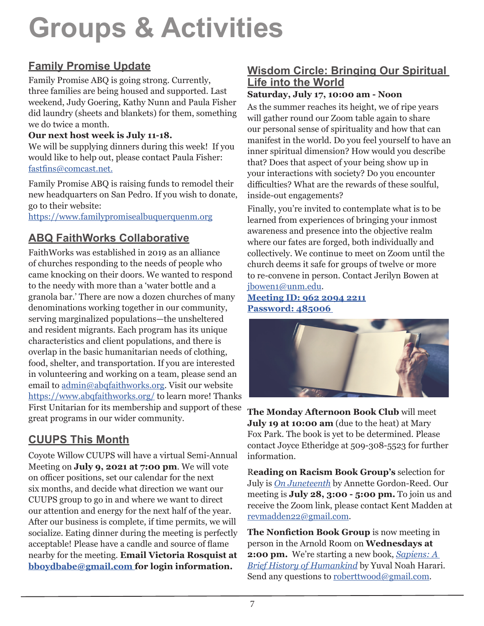## **Groups & Activities**

## **Family Promise Update**

Family Promise ABQ is going strong. Currently, three families are being housed and supported. Last weekend, Judy Goering, Kathy Nunn and Paula Fisher did laundry (sheets and blankets) for them, something we do twice a month.

#### **Our next host week is July 11-18.**

We will be supplying dinners during this week! If you would like to help out, please contact Paula Fisher: fastfins@comcast.net.

Family Promise ABQ is raising funds to remodel their new headquarters on San Pedro. If you wish to donate, go to their website:

https://www.familypromisealbuquerquenm.org

## **ABQ FaithWorks Collaborative**

FaithWorks was established in 2019 as an alliance of churches responding to the needs of people who came knocking on their doors. We wanted to respond to the needy with more than a 'water bottle and a granola bar.' There are now a dozen churches of many denominations working together in our community, serving marginalized populations—the unsheltered and resident migrants. Each program has its unique characteristics and client populations, and there is overlap in the basic humanitarian needs of clothing, food, shelter, and transportation. If you are interested in volunteering and working on a team, please send an email to admin@abqfaithworks.org. Visit our website https://www.abqfaithworks.org/ to learn more! Thanks First Unitarian for its membership and support of these great programs in our wider community.

## **CUUPS This Month**

Coyote Willow CUUPS will have a virtual Semi-Annual Meeting on **July 9, 2021 at 7:00 pm**. We will vote on officer positions, set our calendar for the next six months, and decide what direction we want our CUUPS group to go in and where we want to direct our attention and energy for the next half of the year. After our business is complete, if time permits, we will socialize. Eating dinner during the meeting is perfectly acceptable! Please have a candle and source of flame nearby for the meeting. **Email Victoria Rosquist at bboydbabe@gmail.com for login information.**

## **Wisdom Circle: Bringing Our Spiritual Life into the World**

#### **Saturday, July 17, 10:00 am - Noon**

As the summer reaches its height, we of ripe years will gather round our Zoom table again to share our personal sense of spirituality and how that can manifest in the world. Do you feel yourself to have an inner spiritual dimension? How would you describe that? Does that aspect of your being show up in your interactions with society? Do you encounter difficulties? What are the rewards of these soulful, inside-out engagements?

Finally, you're invited to contemplate what is to be learned from experiences of bringing your inmost awareness and presence into the objective realm where our fates are forged, both individually and collectively. We continue to meet on Zoom until the church deems it safe for groups of twelve or more to re-convene in person. Contact Jerilyn Bowen at jbowen1@unm.edu.

#### **Meeting ID: 962 2094 2211 Password: 485006**



**The Monday Afternoon Book Club** will meet **July 19 at 10:00 am** (due to the heat) at Mary Fox Park. The book is yet to be determined. Please contact Joyce Etheridge at 509-308-5523 for further information.

R**eading on Racism Book Group's** selection for July is *On Juneteenth* by Annette Gordon-Reed. Our meeting is **July 28, 3:00 - 5:00 pm.** To join us and receive the Zoom link, please contact Kent Madden at revmadden22@gmail.com.

**The Nonfiction Book Group** is now meeting in person in the Arnold Room on **Wednesdays at 2:00 pm.** We're starting a new book, *Sapiens: A Brief History of Humankind* by Yuval Noah Harari. Send any questions to roberttwood@gmail.com.